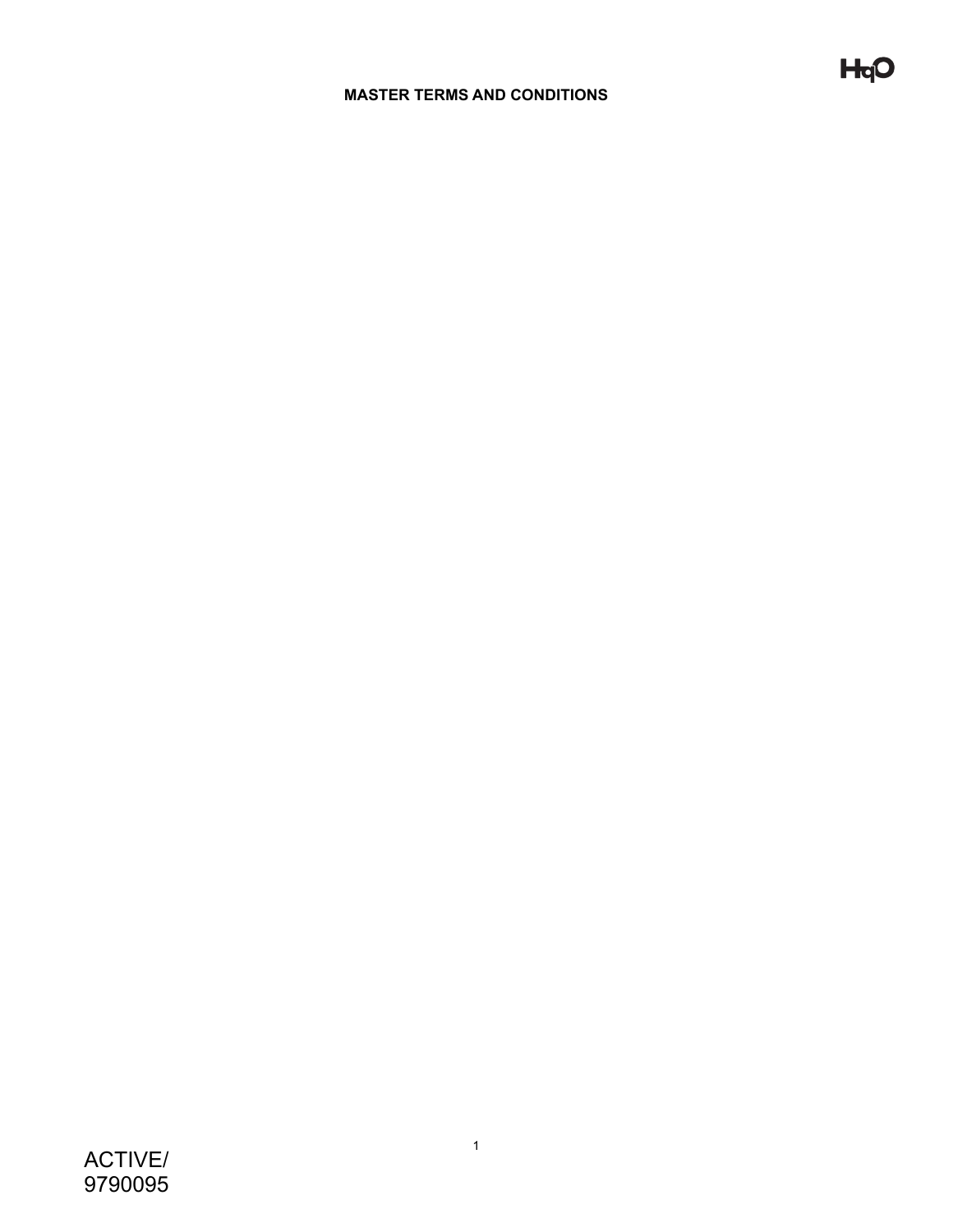## **MASTER TERMS AND CONDITIONS**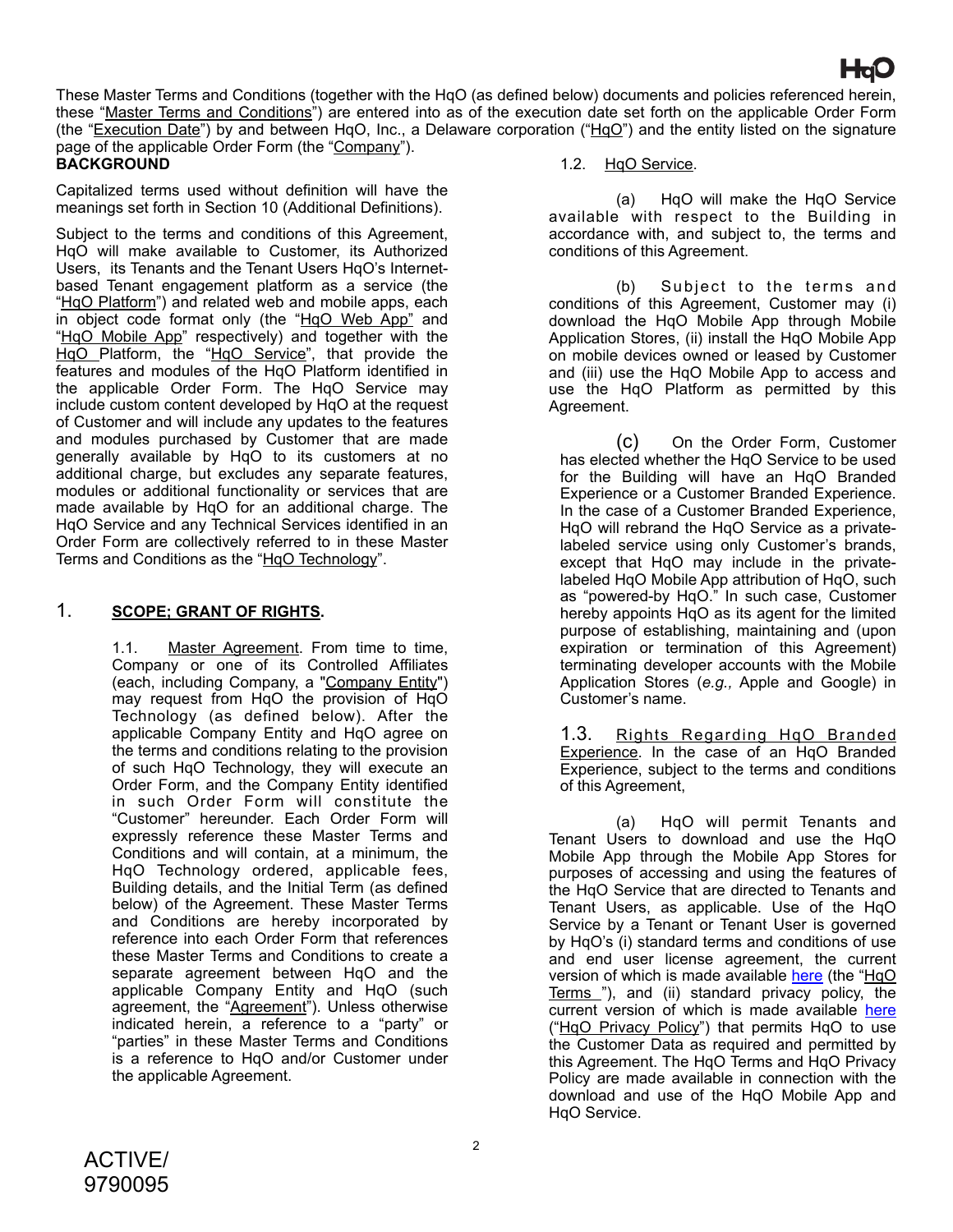These Master Terms and Conditions (together with the HqO (as defined below) documents and policies referenced herein, these "Master Terms and Conditions") are entered into as of the execution date set forth on the applicable Order Form (the "Execution Date") by and between HqO, Inc., a Delaware corporation ("HqO") and the entity listed on the signature page of the applicable Order Form (the "Company").

# **BACKGROUND**

Capitalized terms used without definition will have the meanings set forth in Section 10 (Additional Definitions).

Subject to the terms and conditions of this Agreement. HqO will make available to Customer, its Authorized Users, its Tenants and the Tenant Users HqO's Internetbased Tenant engagement platform as a service (the "HqO Platform") and related web and mobile apps, each in object code format only (the "HqO Web App" and "HqO Mobile App" respectively) and together with the HqO Platform, the "HqO Service", that provide the features and modules of the HqO Platform identified in the applicable Order Form. The HqO Service may include custom content developed by HqO at the request of Customer and will include any updates to the features and modules purchased by Customer that are made generally available by HqO to its customers at no additional charge, but excludes any separate features, modules or additional functionality or services that are made available by HqO for an additional charge. The HqO Service and any Technical Services identified in an Order Form are collectively referred to in these Master Terms and Conditions as the "HqO Technology".

## 1. **SCOPE; GRANT OF RIGHTS.**

1.1. Master Agreement. From time to time, Company or one of its Controlled Affiliates (each, including Company, a "Company Entity") may request from HqO the provision of HqO Technology (as defined below). After the applicable Company Entity and HqO agree on the terms and conditions relating to the provision of such HqO Technology, they will execute an Order Form, and the Company Entity identified in such Order Form will constitute the "Customer" hereunder. Each Order Form will expressly reference these Master Terms and Conditions and will contain, at a minimum, the HqO Technology ordered, applicable fees, Building details, and the Initial Term (as defined below) of the Agreement. These Master Terms and Conditions are hereby incorporated by reference into each Order Form that references these Master Terms and Conditions to create a separate agreement between HqO and the applicable Company Entity and HqO (such agreement, the "Agreement"). Unless otherwise indicated herein, a reference to a "party" or "parties" in these Master Terms and Conditions is a reference to HqO and/or Customer under the applicable Agreement.

#### 1.2. HqO Service.

(a) HqO will make the HqO Service available with respect to the Building in accordance with, and subject to, the terms and conditions of this Agreement.

(b) Subject to the terms and conditions of this Agreement, Customer may (i) download the HqO Mobile App through Mobile Application Stores, (ii) install the HqO Mobile App on mobile devices owned or leased by Customer and (iii) use the HqO Mobile App to access and use the HqO Platform as permitted by this Agreement.

(c) On the Order Form, Customer has elected whether the HqO Service to be used for the Building will have an HqO Branded Experience or a Customer Branded Experience. In the case of a Customer Branded Experience, HqO will rebrand the HqO Service as a privatelabeled service using only Customer's brands, except that HqO may include in the privatelabeled HqO Mobile App attribution of HqO, such as "powered-by HqO." In such case, Customer hereby appoints HqO as its agent for the limited purpose of establishing, maintaining and (upon expiration or termination of this Agreement) terminating developer accounts with the Mobile Application Stores (*e.g.,* Apple and Google) in Customer's name.

1.3. Rights Regarding HqO Branded Experience. In the case of an HqO Branded Experience, subject to the terms and conditions of this Agreement,

(a) HqO will permit Tenants and Tenant Users to download and use the HqO Mobile App through the Mobile App Stores for purposes of accessing and using the features of the HqO Service that are directed to Tenants and Tenant Users, as applicable. Use of the HqO Service by a Tenant or Tenant User is governed by HqO's (i) standard terms and conditions of use and end user license agreement, the current version of which is made available [here](https://www.hqo.com/wp-content/uploads/2021/09/8-19-21-hqo-terms-and-conditions-of-use.pdf) (the "HqO Terms "), and (ii) standard privacy policy, the current version of which is made available [here](https://www.hqo.com/legal/privacy-policy/) ("HqO Privacy Policy") that permits HqO to use the Customer Data as required and permitted by this Agreement. The HqO Terms and HqO Privacy Policy are made available in connection with the download and use of the HqO Mobile App and HqO Service.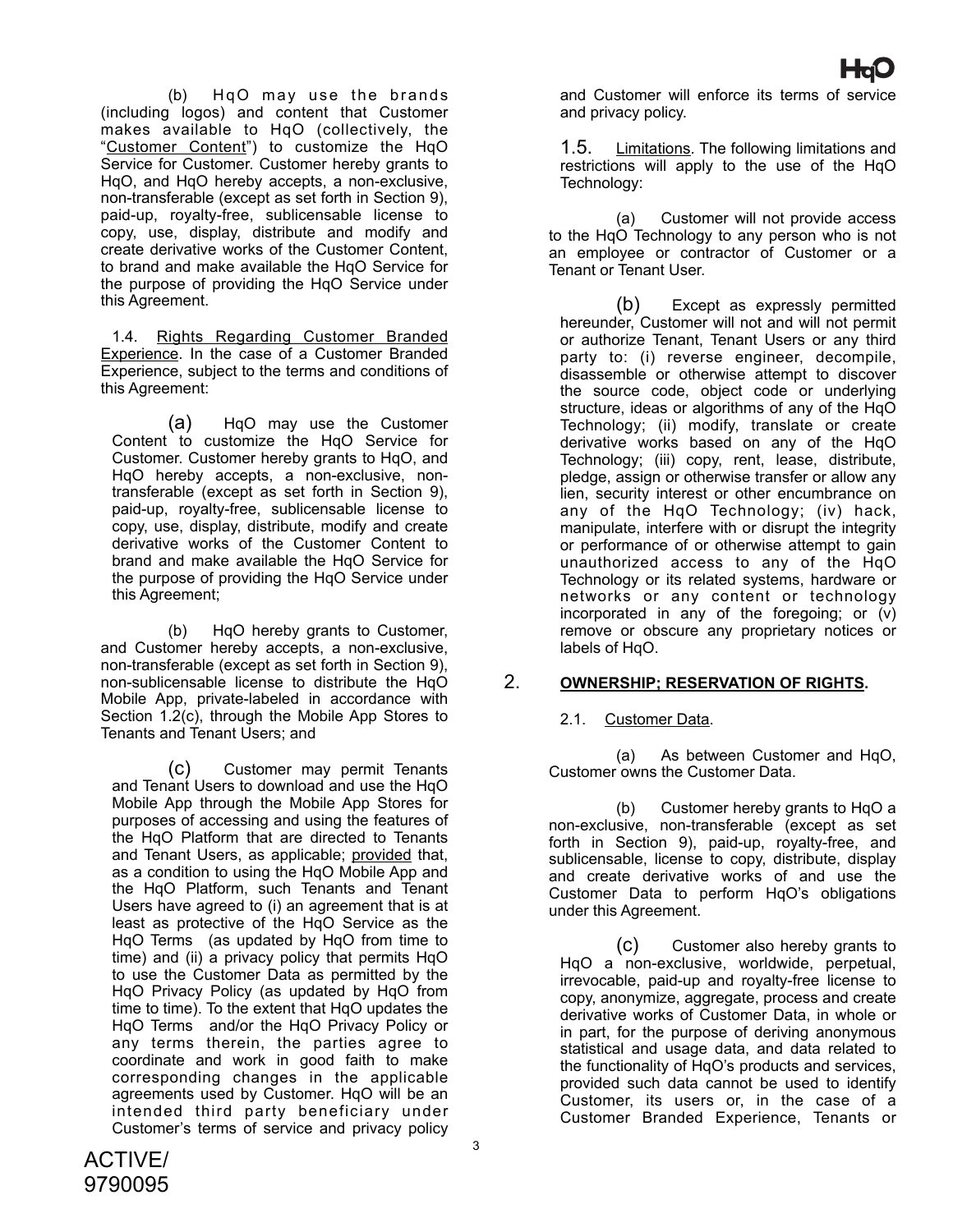(b) HqO may use the brands (including logos) and content that Customer makes available to HqO (collectively, the "Customer Content") to customize the HqO Service for Customer. Customer hereby grants to HqO, and HqO hereby accepts, a non-exclusive, non-transferable (except as set forth in Section 9), paid-up, royalty-free, sublicensable license to copy, use, display, distribute and modify and create derivative works of the Customer Content, to brand and make available the HqO Service for the purpose of providing the HqO Service under this Agreement.

1.4. Rights Regarding Customer Branded Experience. In the case of a Customer Branded Experience, subject to the terms and conditions of this Agreement:

(a) HqO may use the Customer Content to customize the HqO Service for Customer. Customer hereby grants to HqO, and HqO hereby accepts, a non-exclusive, nontransferable (except as set forth in Section 9), paid-up, royalty-free, sublicensable license to copy, use, display, distribute, modify and create derivative works of the Customer Content to brand and make available the HqO Service for the purpose of providing the HqO Service under this Agreement;

(b) HqO hereby grants to Customer, and Customer hereby accepts, a non-exclusive, non-transferable (except as set forth in Section 9), non-sublicensable license to distribute the HqO Mobile App, private-labeled in accordance with Section 1.2(c), through the Mobile App Stores to Tenants and Tenant Users; and

(c) Customer may permit Tenants and Tenant Users to download and use the HqO Mobile App through the Mobile App Stores for purposes of accessing and using the features of the HqO Platform that are directed to Tenants and Tenant Users, as applicable; provided that, as a condition to using the HqO Mobile App and the HqO Platform, such Tenants and Tenant Users have agreed to (i) an agreement that is at least as protective of the HqO Service as the HqO Terms (as updated by HqO from time to time) and (ii) a privacy policy that permits HqO to use the Customer Data as permitted by the HqO Privacy Policy (as updated by HqO from time to time). To the extent that HqO updates the HqO Terms and/or the HqO Privacy Policy or any terms therein, the parties agree to coordinate and work in good faith to make corresponding changes in the applicable agreements used by Customer. HqO will be an intended third party beneficiary under Customer's terms of service and privacy policy

and Customer will enforce its terms of service and privacy policy.

1.5. Limitations. The following limitations and restrictions will apply to the use of the HqO Technology:

(a) Customer will not provide access to the HqO Technology to any person who is not an employee or contractor of Customer or a Tenant or Tenant User.

(b) Except as expressly permitted hereunder, Customer will not and will not permit or authorize Tenant, Tenant Users or any third party to: (i) reverse engineer, decompile, disassemble or otherwise attempt to discover the source code, object code or underlying structure, ideas or algorithms of any of the HqO Technology; (ii) modify, translate or create derivative works based on any of the HqO Technology; (iii) copy, rent, lease, distribute, pledge, assign or otherwise transfer or allow any lien, security interest or other encumbrance on any of the HqO Technology; (iv) hack, manipulate, interfere with or disrupt the integrity or performance of or otherwise attempt to gain unauthorized access to any of the HqO Technology or its related systems, hardware or networks or any content or technology incorporated in any of the foregoing; or (v) remove or obscure any proprietary notices or labels of HqO.

## 2. **OWNERSHIP; RESERVATION OF RIGHTS.**

#### 2.1. Customer Data.

(a) As between Customer and HqO, Customer owns the Customer Data.

(b) Customer hereby grants to HqO a non-exclusive, non-transferable (except as set forth in Section 9), paid-up, royalty-free, and sublicensable, license to copy, distribute, display and create derivative works of and use the Customer Data to perform HqO's obligations under this Agreement.

(c) Customer also hereby grants to HqO a non-exclusive, worldwide, perpetual, irrevocable, paid-up and royalty-free license to copy, anonymize, aggregate, process and create derivative works of Customer Data, in whole or in part, for the purpose of deriving anonymous statistical and usage data, and data related to the functionality of HqO's products and services, provided such data cannot be used to identify Customer, its users or, in the case of a Customer Branded Experience, Tenants or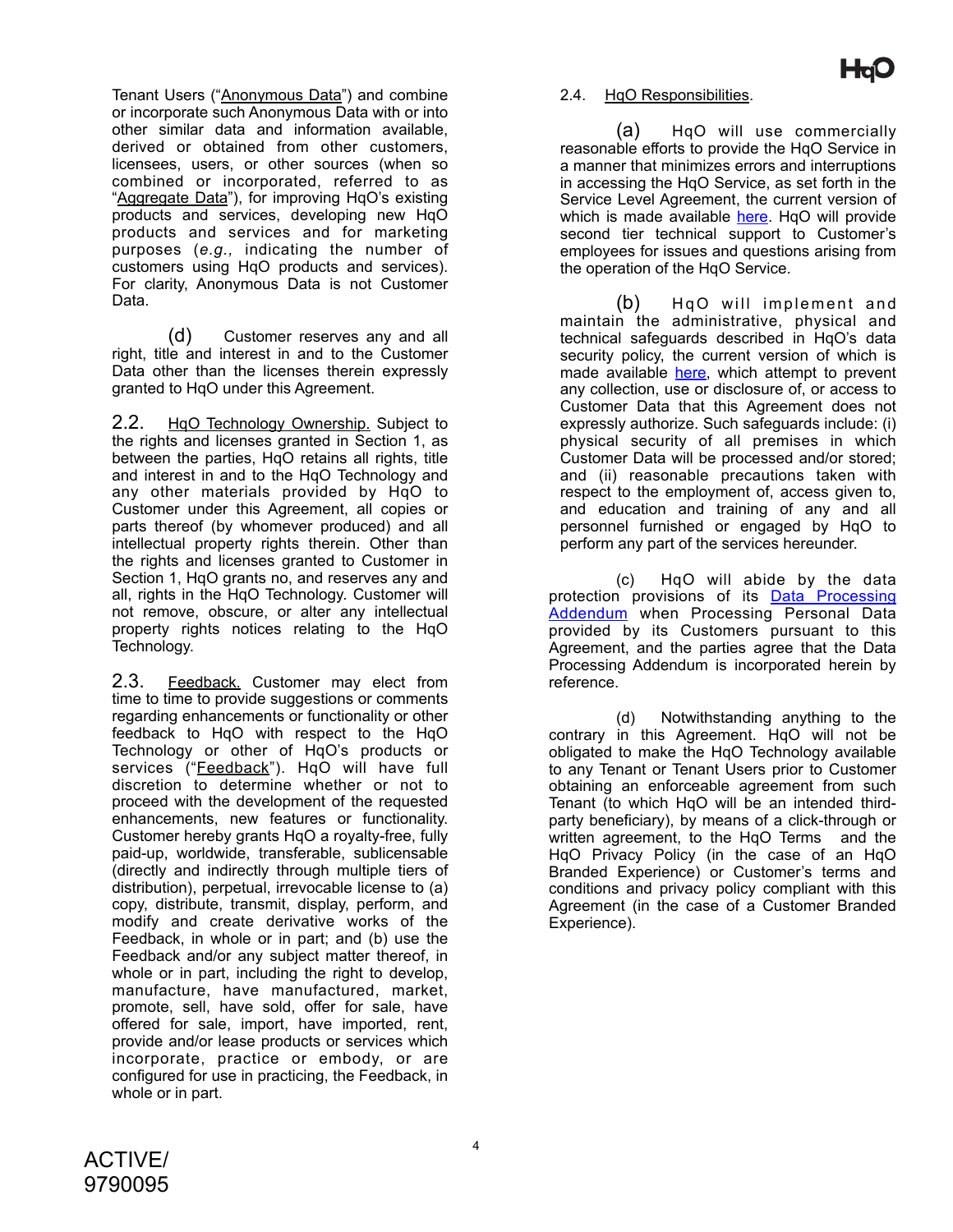Tenant Users ("Anonymous Data") and combine or incorporate such Anonymous Data with or into other similar data and information available, derived or obtained from other customers, licensees, users, or other sources (when so combined or incorporated, referred to as "Aggregate Data"), for improving HqO's existing products and services, developing new HqO products and services and for marketing purposes (*e.g.,* indicating the number of customers using HqO products and services). For clarity, Anonymous Data is not Customer Data.

(d) Customer reserves any and all right, title and interest in and to the Customer Data other than the licenses therein expressly granted to HqO under this Agreement.

2.2. HgO Technology Ownership. Subject to the rights and licenses granted in Section 1, as between the parties, HqO retains all rights, title and interest in and to the HqO Technology and any other materials provided by HqO to Customer under this Agreement, all copies or parts thereof (by whomever produced) and all intellectual property rights therein. Other than the rights and licenses granted to Customer in Section 1, HqO grants no, and reserves any and all, rights in the HqO Technology. Customer will not remove, obscure, or alter any intellectual property rights notices relating to the HqO Technology.

2.3. Feedback. Customer may elect from time to time to provide suggestions or comments regarding enhancements or functionality or other feedback to HqO with respect to the HqO Technology or other of HqO's products or services ("Feedback"). HqO will have full discretion to determine whether or not to proceed with the development of the requested enhancements, new features or functionality. Customer hereby grants HqO a royalty-free, fully paid-up, worldwide, transferable, sublicensable (directly and indirectly through multiple tiers of distribution), perpetual, irrevocable license to (a) copy, distribute, transmit, display, perform, and modify and create derivative works of the Feedback, in whole or in part; and (b) use the Feedback and/or any subject matter thereof, in whole or in part, including the right to develop, manufacture, have manufactured, market, promote, sell, have sold, offer for sale, have offered for sale, import, have imported, rent, provide and/or lease products or services which incorporate, practice or embody, or are configured for use in practicing, the Feedback, in whole or in part.

#### 2.4. HqO Responsibilities.

(a) HqO will use commercially reasonable efforts to provide the HqO Service in a manner that minimizes errors and interruptions in accessing the HqO Service, as set forth in the Service Level Agreement, the current version of which is made available [here.](https://www.hqo.com/sla/) HgO will provide second tier technical support to Customer's employees for issues and questions arising from the operation of the HqO Service.

 $(b)$  HgO will implement and maintain the administrative, physical and technical safeguards described in HqO's data security policy, the current version of which is made available [here,](https://www.hqo.com/security-practices/) which attempt to prevent any collection, use or disclosure of, or access to Customer Data that this Agreement does not expressly authorize. Such safeguards include: (i) physical security of all premises in which Customer Data will be processed and/or stored; and (ii) reasonable precautions taken with respect to the employment of, access given to, and education and training of any and all personnel furnished or engaged by HqO to perform any part of the services hereunder.

(c) HqO will abide by the data protection provisions of its **[Data Processing](https://www.hqo.com/wp-content/uploads/2021/09/8-19-21-hqo-data-processing-addendum-version-1.pdf)** [Addendum](https://www.hqo.com/wp-content/uploads/2021/09/8-19-21-hqo-data-processing-addendum-version-1.pdf) when Processing Personal Data provided by its Customers pursuant to this Agreement, and the parties agree that the Data Processing Addendum is incorporated herein by reference.

(d) Notwithstanding anything to the contrary in this Agreement. HqO will not be obligated to make the HqO Technology available to any Tenant or Tenant Users prior to Customer obtaining an enforceable agreement from such Tenant (to which HqO will be an intended thirdparty beneficiary), by means of a click-through or written agreement, to the HqO Terms and the HqO Privacy Policy (in the case of an HqO Branded Experience) or Customer's terms and conditions and privacy policy compliant with this Agreement (in the case of a Customer Branded Experience).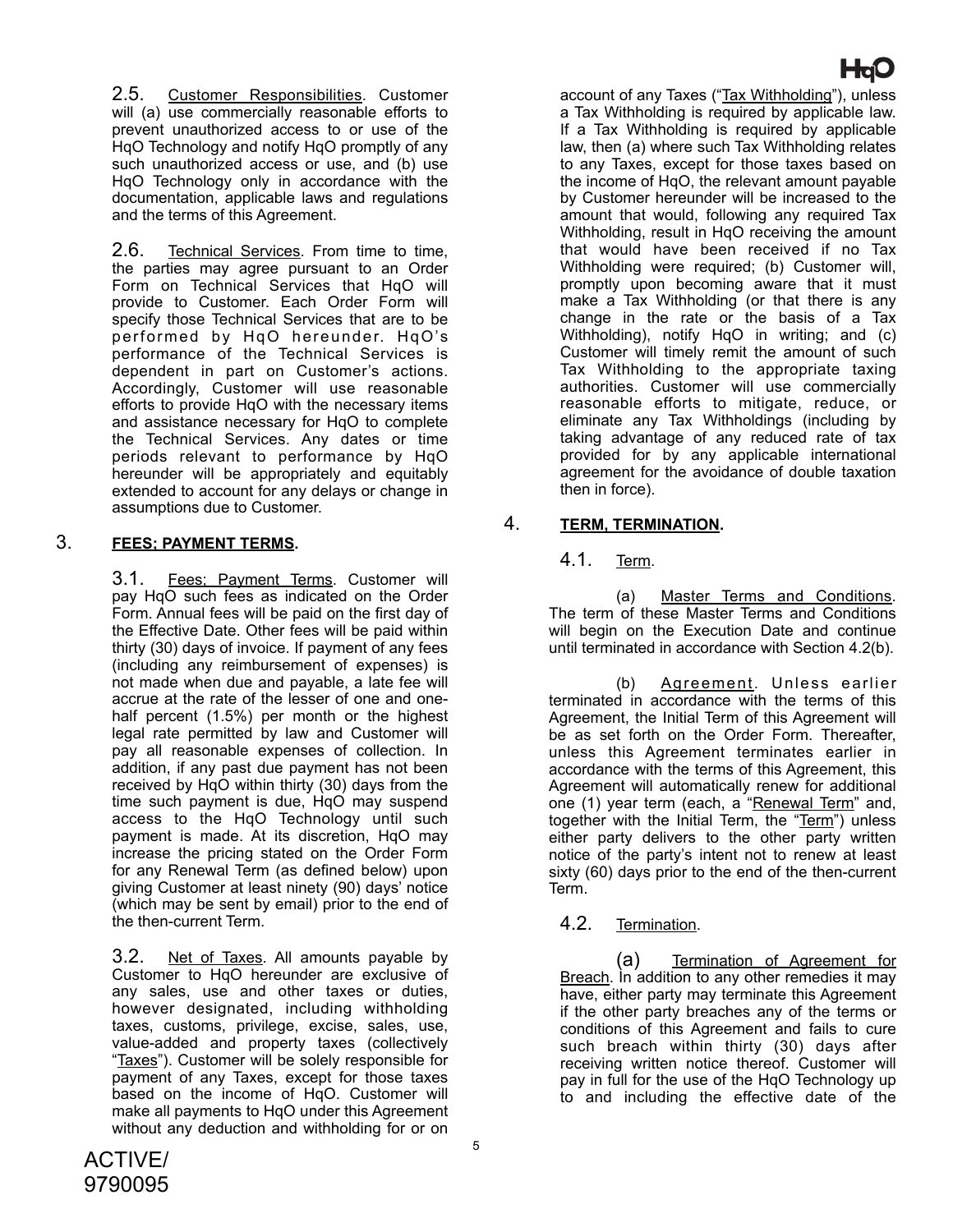2.5. Customer Responsibilities. Customer will (a) use commercially reasonable efforts to prevent unauthorized access to or use of the HqO Technology and notify HqO promptly of any such unauthorized access or use, and (b) use HqO Technology only in accordance with the documentation, applicable laws and regulations and the terms of this Agreement.

2.6. Technical Services. From time to time, the parties may agree pursuant to an Order Form on Technical Services that HqO will provide to Customer. Each Order Form will specify those Technical Services that are to be performed by HqO hereunder. HqO's performance of the Technical Services is dependent in part on Customer's actions. Accordingly, Customer will use reasonable efforts to provide HqO with the necessary items and assistance necessary for HqO to complete the Technical Services. Any dates or time periods relevant to performance by HqO hereunder will be appropriately and equitably extended to account for any delays or change in assumptions due to Customer.

## 3. **FEES; PAYMENT TERMS.**

3.1. Fees; Payment Terms. Customer will pay HqO such fees as indicated on the Order Form. Annual fees will be paid on the first day of the Effective Date. Other fees will be paid within thirty (30) days of invoice. If payment of any fees (including any reimbursement of expenses) is not made when due and payable, a late fee will accrue at the rate of the lesser of one and onehalf percent (1.5%) per month or the highest legal rate permitted by law and Customer will pay all reasonable expenses of collection. In addition, if any past due payment has not been received by HqO within thirty (30) days from the time such payment is due, HqO may suspend access to the HqO Technology until such payment is made. At its discretion, HqO may increase the pricing stated on the Order Form for any Renewal Term (as defined below) upon giving Customer at least ninety (90) days' notice (which may be sent by email) prior to the end of the then-current Term.

3.2. Net of Taxes. All amounts payable by Customer to HqO hereunder are exclusive of any sales, use and other taxes or duties, however designated, including withholding taxes, customs, privilege, excise, sales, use, value-added and property taxes (collectively "Taxes"). Customer will be solely responsible for payment of any Taxes, except for those taxes based on the income of HqO. Customer will make all payments to HqO under this Agreement without any deduction and withholding for or on

account of any Taxes ("Tax Withholding"), unless a Tax Withholding is required by applicable law. If a Tax Withholding is required by applicable law, then (a) where such Tax Withholding relates to any Taxes, except for those taxes based on the income of HqO, the relevant amount payable by Customer hereunder will be increased to the amount that would, following any required Tax Withholding, result in HqO receiving the amount that would have been received if no Tax Withholding were required; (b) Customer will, promptly upon becoming aware that it must make a Tax Withholding (or that there is any change in the rate or the basis of a Tax Withholding), notify HqO in writing; and (c) Customer will timely remit the amount of such Tax Withholding to the appropriate taxing authorities. Customer will use commercially reasonable efforts to mitigate, reduce, or eliminate any Tax Withholdings (including by taking advantage of any reduced rate of tax provided for by any applicable international agreement for the avoidance of double taxation then in force).

## 4. **TERM, TERMINATION.**

## 4.1. Term.

(a) Master Terms and Conditions. The term of these Master Terms and Conditions will begin on the Execution Date and continue until terminated in accordance with Section 4.2(b).

(b) Agreement. Unless earlier terminated in accordance with the terms of this Agreement, the Initial Term of this Agreement will be as set forth on the Order Form. Thereafter, unless this Agreement terminates earlier in accordance with the terms of this Agreement, this Agreement will automatically renew for additional one (1) year term (each, a "Renewal Term" and, together with the Initial Term, the "Term") unless either party delivers to the other party written notice of the party's intent not to renew at least sixty (60) days prior to the end of the then-current Term.

#### 4.2. Termination.

(a) Termination of Agreement for Breach. In addition to any other remedies it may have, either party may terminate this Agreement if the other party breaches any of the terms or conditions of this Agreement and fails to cure such breach within thirty (30) days after receiving written notice thereof. Customer will pay in full for the use of the HqO Technology up to and including the effective date of the

# HaQ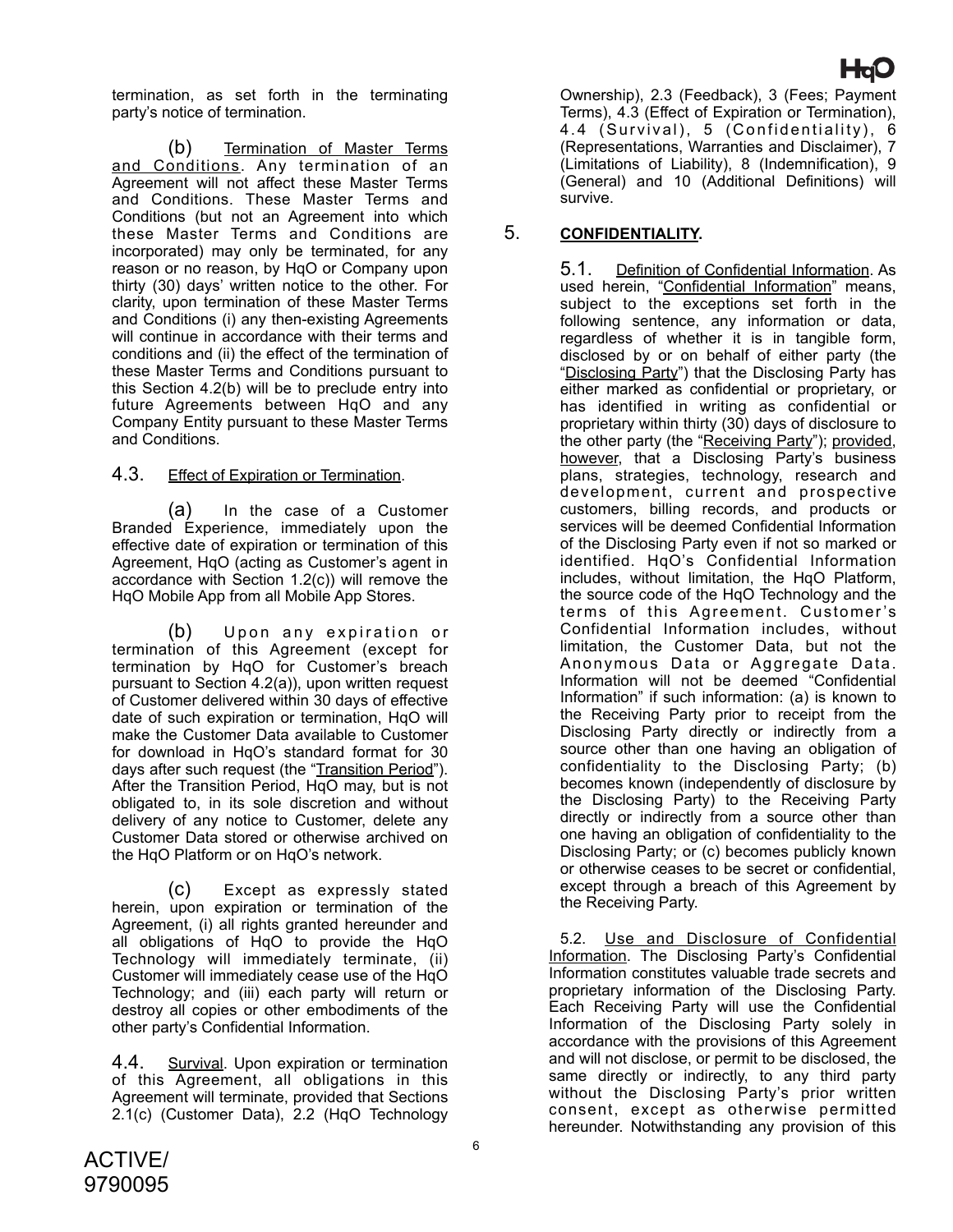termination, as set forth in the terminating party's notice of termination.

(b) Termination of Master Terms and Conditions. Any termination of an Agreement will not affect these Master Terms and Conditions. These Master Terms and Conditions (but not an Agreement into which these Master Terms and Conditions are incorporated) may only be terminated, for any reason or no reason, by HqO or Company upon thirty (30) days' written notice to the other. For clarity, upon termination of these Master Terms and Conditions (i) any then-existing Agreements will continue in accordance with their terms and conditions and (ii) the effect of the termination of these Master Terms and Conditions pursuant to this Section 4.2(b) will be to preclude entry into future Agreements between HqO and any Company Entity pursuant to these Master Terms and Conditions.

#### 4.3. Effect of Expiration or Termination.

(a) In the case of a Customer Branded Experience, immediately upon the effective date of expiration or termination of this Agreement, HqO (acting as Customer's agent in accordance with Section 1.2(c)) will remove the HqO Mobile App from all Mobile App Stores.

(b) Upon any expiration or termination of this Agreement (except for termination by HqO for Customer's breach pursuant to Section 4.2(a)), upon written request of Customer delivered within 30 days of effective date of such expiration or termination, HqO will make the Customer Data available to Customer for download in HqO's standard format for 30 days after such request (the "Transition Period"). After the Transition Period, HqO may, but is not obligated to, in its sole discretion and without delivery of any notice to Customer, delete any Customer Data stored or otherwise archived on the HqO Platform or on HqO's network.

(c) Except as expressly stated herein, upon expiration or termination of the Agreement, (i) all rights granted hereunder and all obligations of HqO to provide the HqO Technology will immediately terminate, (ii) Customer will immediately cease use of the HqO Technology; and (iii) each party will return or destroy all copies or other embodiments of the other party's Confidential Information.

4.4. Survival. Upon expiration or termination of this Agreement, all obligations in this Agreement will terminate, provided that Sections 2.1(c) (Customer Data), 2.2 (HqO Technology

Ownership), 2.3 (Feedback), 3 (Fees; Payment Terms), 4.3 (Effect of Expiration or Termination), 4.4 (Survival), 5 (Confidentiality), 6 (Representations, Warranties and Disclaimer), 7 (Limitations of Liability), 8 (Indemnification), 9 (General) and 10 (Additional Definitions) will survive.

## 5. **CONFIDENTIALITY.**

5.1. Definition of Confidential Information. As used herein, "Confidential Information" means, subject to the exceptions set forth in the following sentence, any information or data, regardless of whether it is in tangible form, disclosed by or on behalf of either party (the "Disclosing Party") that the Disclosing Party has either marked as confidential or proprietary, or has identified in writing as confidential or proprietary within thirty (30) days of disclosure to the other party (the "Receiving Party"); provided, however, that a Disclosing Party's business plans, strategies, technology, research and development, current and prospective customers, billing records, and products or services will be deemed Confidential Information of the Disclosing Party even if not so marked or identified. HqO's Confidential Information includes, without limitation, the HqO Platform, the source code of the HqO Technology and the terms of this Agreement. Customer 's Confidential Information includes, without limitation, the Customer Data, but not the Anonymous Data or Aggregate Data. Information will not be deemed "Confidential Information" if such information: (a) is known to the Receiving Party prior to receipt from the Disclosing Party directly or indirectly from a source other than one having an obligation of confidentiality to the Disclosing Party; (b) becomes known (independently of disclosure by the Disclosing Party) to the Receiving Party directly or indirectly from a source other than one having an obligation of confidentiality to the Disclosing Party; or (c) becomes publicly known or otherwise ceases to be secret or confidential, except through a breach of this Agreement by the Receiving Party.

5.2. Use and Disclosure of Confidential Information. The Disclosing Party's Confidential Information constitutes valuable trade secrets and proprietary information of the Disclosing Party. Each Receiving Party will use the Confidential Information of the Disclosing Party solely in accordance with the provisions of this Agreement and will not disclose, or permit to be disclosed, the same directly or indirectly, to any third party without the Disclosing Party's prior written consent, except as otherwise permitted hereunder. Notwithstanding any provision of this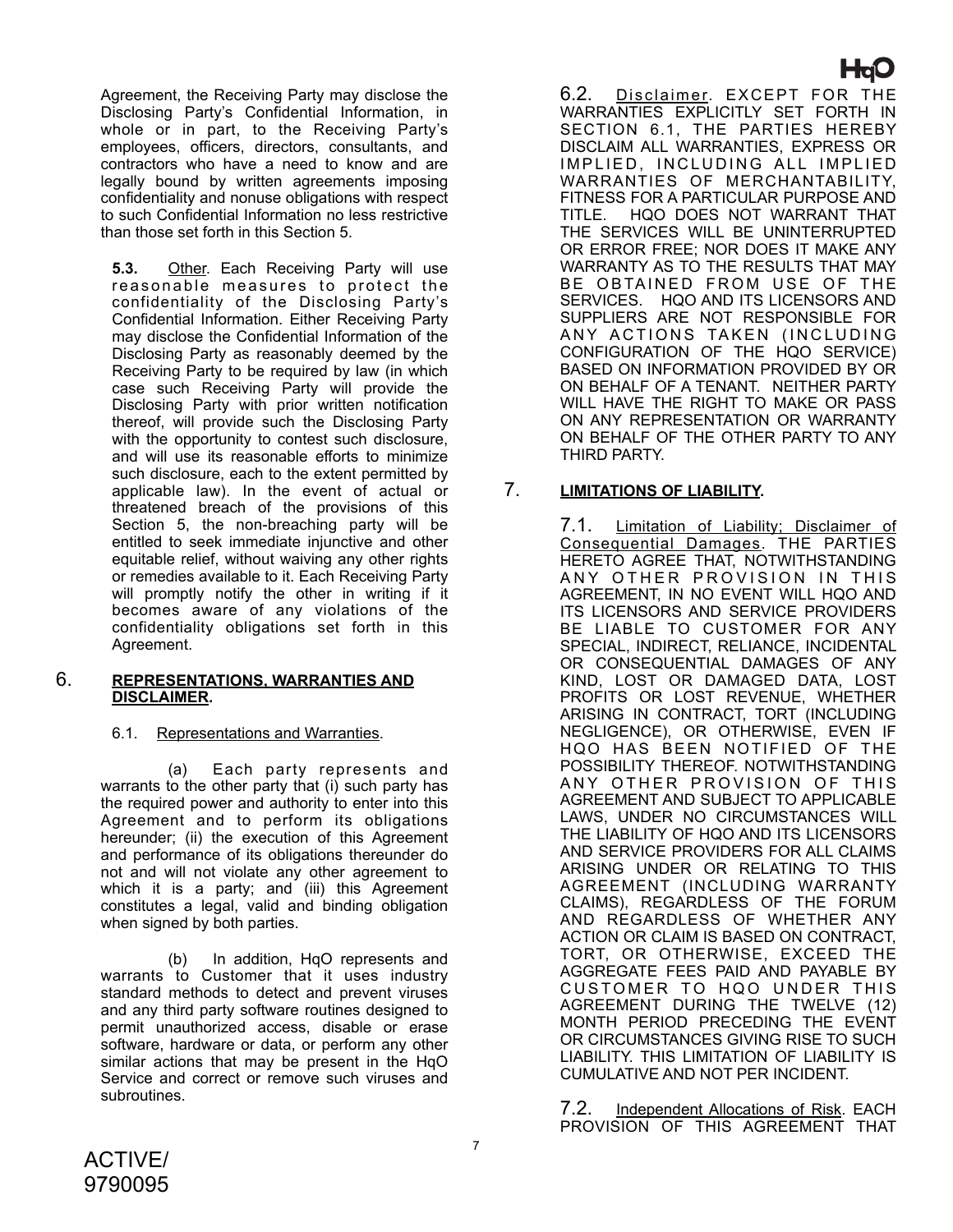Agreement, the Receiving Party may disclose the Disclosing Party's Confidential Information, in whole or in part, to the Receiving Party's employees, officers, directors, consultants, and contractors who have a need to know and are legally bound by written agreements imposing confidentiality and nonuse obligations with respect to such Confidential Information no less restrictive than those set forth in this Section 5.

**5.3.** Other. Each Receiving Party will use reasonable measures to protect the confidentiality of the Disclosing Party's Confidential Information. Either Receiving Party may disclose the Confidential Information of the Disclosing Party as reasonably deemed by the Receiving Party to be required by law (in which case such Receiving Party will provide the Disclosing Party with prior written notification thereof, will provide such the Disclosing Party with the opportunity to contest such disclosure, and will use its reasonable efforts to minimize such disclosure, each to the extent permitted by applicable law). In the event of actual or threatened breach of the provisions of this Section 5, the non-breaching party will be entitled to seek immediate injunctive and other equitable relief, without waiving any other rights or remedies available to it. Each Receiving Party will promptly notify the other in writing if it becomes aware of any violations of the confidentiality obligations set forth in this Agreement.

#### 6. **REPRESENTATIONS, WARRANTIES AND DISCLAIMER.**

## 6.1. Representations and Warranties.

(a) Each party represents and warrants to the other party that (i) such party has the required power and authority to enter into this Agreement and to perform its obligations hereunder; (ii) the execution of this Agreement and performance of its obligations thereunder do not and will not violate any other agreement to which it is a party; and (iii) this Agreement constitutes a legal, valid and binding obligation when signed by both parties.

(b) In addition, HqO represents and warrants to Customer that it uses industry standard methods to detect and prevent viruses and any third party software routines designed to permit unauthorized access, disable or erase software, hardware or data, or perform any other similar actions that may be present in the HqO Service and correct or remove such viruses and subroutines.

6.2. Disclaimer. EXCEPT FOR THE WARRANTIES EXPLICITLY SET FORTH IN SECTION 6.1, THE PARTIES HEREBY DISCLAIM ALL WARRANTIES, EXPRESS OR IMPLIED, INCLUDING ALL IMPLIED WARRANTIES OF MERCHANTABILITY, FITNESS FOR A PARTICULAR PURPOSE AND<br>TITLE. HQO DOES NOT WARRANT THAT HQO DOES NOT WARRANT THAT THE SERVICES WILL BE UNINTERRUPTED OR ERROR FREE; NOR DOES IT MAKE ANY WARRANTY AS TO THE RESULTS THAT MAY BE OBTAINED FROM USE OF THE SERVICES. HQO AND ITS LICENSORS AND SUPPLIERS ARE NOT RESPONSIBLE FOR ANY ACTIONS TAKEN (INCLUDING CONFIGURATION OF THE HQO SERVICE) BASED ON INFORMATION PROVIDED BY OR ON BEHALF OF A TENANT. NEITHER PARTY WILL HAVE THE RIGHT TO MAKE OR PASS ON ANY REPRESENTATION OR WARRANTY ON BEHALF OF THE OTHER PARTY TO ANY THIRD PARTY.

**Hav** 

# 7. **LIMITATIONS OF LIABILITY.**

7.1. Limitation of Liability; Disclaimer of Consequential Damages. THE PARTIES HERETO AGREE THAT, NOTWITHSTANDING ANY OTHER PROVISION IN THIS AGREEMENT, IN NO EVENT WILL HQO AND ITS LICENSORS AND SERVICE PROVIDERS BE LIABLE TO CUSTOMER FOR ANY SPECIAL, INDIRECT, RELIANCE, INCIDENTAL OR CONSEQUENTIAL DAMAGES OF ANY KIND, LOST OR DAMAGED DATA, LOST PROFITS OR LOST REVENUE, WHETHER ARISING IN CONTRACT, TORT (INCLUDING NEGLIGENCE), OR OTHERWISE, EVEN IF HQO HAS BEEN NOTIFIED OF THE POSSIBILITY THEREOF. NOTWITHSTANDING ANY OTHER PROVISION OF THIS AGREEMENT AND SUBJECT TO APPLICABLE LAWS, UNDER NO CIRCUMSTANCES WILL THE LIABILITY OF HQO AND ITS LICENSORS AND SERVICE PROVIDERS FOR ALL CLAIMS ARISING UNDER OR RELATING TO THIS AGREEMENT (INCLUDING WARRANTY CLAIMS), REGARDLESS OF THE FORUM AND REGARDLESS OF WHETHER ANY ACTION OR CLAIM IS BASED ON CONTRACT, TORT, OR OTHERWISE, EXCEED THE AGGREGATE FEES PAID AND PAYABLE BY CUSTOMER TO HQO UNDER THIS AGREEMENT DURING THE TWELVE (12) MONTH PERIOD PRECEDING THE EVENT OR CIRCUMSTANCES GIVING RISE TO SUCH LIABILITY. THIS LIMITATION OF LIABILITY IS CUMULATIVE AND NOT PER INCIDENT.

7.2. Independent Allocations of Risk. EACH PROVISION OF THIS AGREEMENT THAT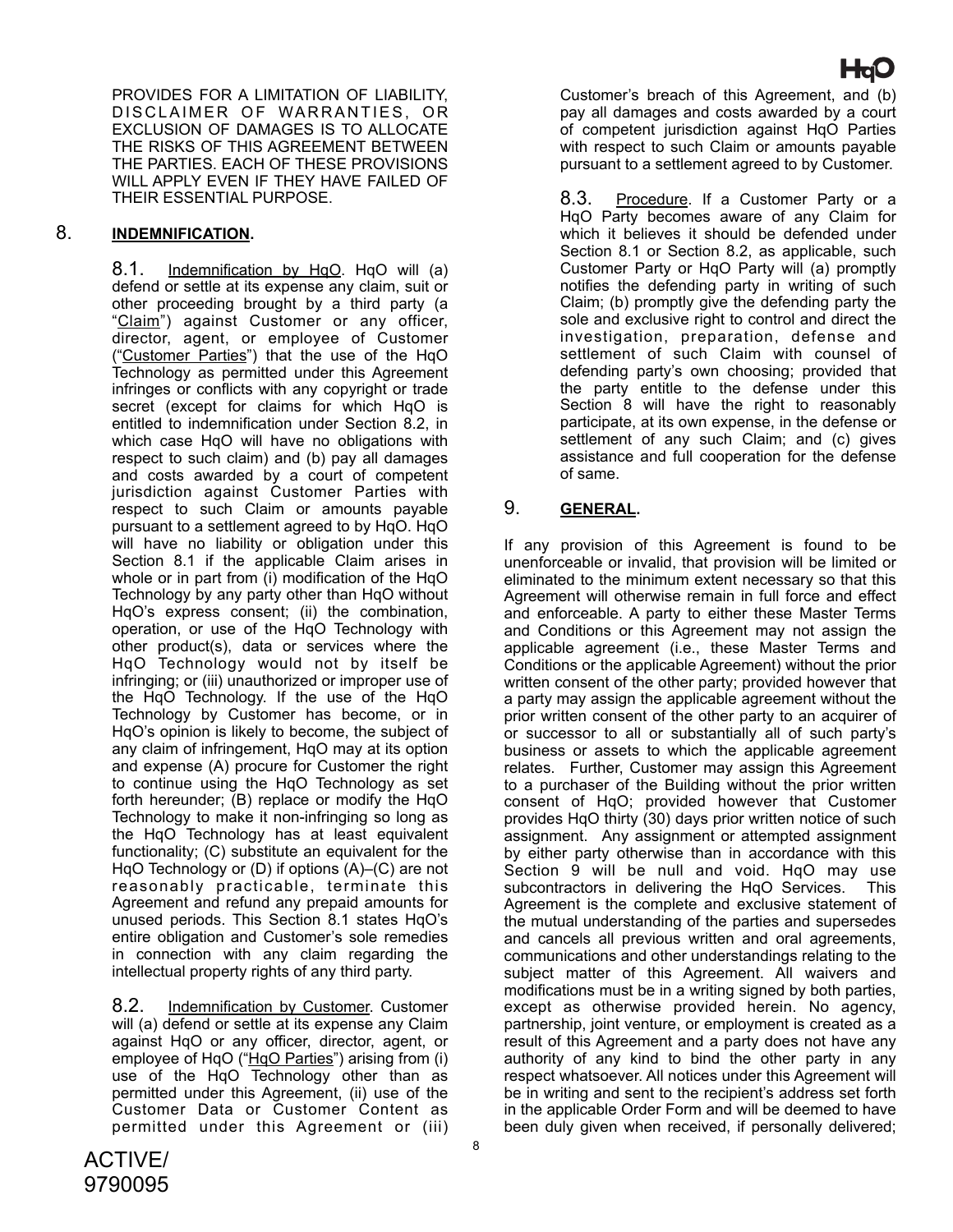PROVIDES FOR A LIMITATION OF LIABILITY, DISCLAIMER OF WARRANTIES, OR EXCLUSION OF DAMAGES IS TO ALLOCATE THE RISKS OF THIS AGREEMENT BETWEEN THE PARTIES. EACH OF THESE PROVISIONS WILL APPLY EVEN IF THEY HAVE FAILED OF THEIR ESSENTIAL PURPOSE.

## 8. **INDEMNIFICATION.**

8.1. Indemnification by HqO. HqO will (a) defend or settle at its expense any claim, suit or other proceeding brought by a third party (a "Claim") against Customer or any officer, director, agent, or employee of Customer ("Customer Parties") that the use of the HqO Technology as permitted under this Agreement infringes or conflicts with any copyright or trade secret (except for claims for which HqO is entitled to indemnification under Section 8.2, in which case HqO will have no obligations with respect to such claim) and (b) pay all damages and costs awarded by a court of competent jurisdiction against Customer Parties with respect to such Claim or amounts payable pursuant to a settlement agreed to by HqO. HqO will have no liability or obligation under this Section 8.1 if the applicable Claim arises in whole or in part from (i) modification of the HqO Technology by any party other than HqO without HqO's express consent; (ii) the combination, operation, or use of the HqO Technology with other product(s), data or services where the HqO Technology would not by itself be infringing; or (iii) unauthorized or improper use of the HqO Technology. If the use of the HqO Technology by Customer has become, or in HqO's opinion is likely to become, the subject of any claim of infringement, HqO may at its option and expense (A) procure for Customer the right to continue using the HqO Technology as set forth hereunder; (B) replace or modify the HqO Technology to make it non-infringing so long as the HqO Technology has at least equivalent functionality; (C) substitute an equivalent for the HqO Technology or (D) if options (A)–(C) are not reasonably practicable, terminate this Agreement and refund any prepaid amounts for unused periods. This Section 8.1 states HqO's entire obligation and Customer's sole remedies in connection with any claim regarding the intellectual property rights of any third party.

8.2. Indemnification by Customer. Customer will (a) defend or settle at its expense any Claim against HqO or any officer, director, agent, or employee of HqO ("HqO Parties") arising from (i) use of the HqO Technology other than as permitted under this Agreement, (ii) use of the Customer Data or Customer Content as permitted under this Agreement or (iii)

Customer's breach of this Agreement, and (b) pay all damages and costs awarded by a court of competent jurisdiction against HqO Parties with respect to such Claim or amounts payable pursuant to a settlement agreed to by Customer.

8.3. Procedure. If a Customer Party or a HqO Party becomes aware of any Claim for which it believes it should be defended under Section 8.1 or Section 8.2, as applicable, such Customer Party or HqO Party will (a) promptly notifies the defending party in writing of such Claim; (b) promptly give the defending party the sole and exclusive right to control and direct the investigation, preparation, defense and settlement of such Claim with counsel of defending party's own choosing; provided that the party entitle to the defense under this Section 8 will have the right to reasonably participate, at its own expense, in the defense or settlement of any such Claim; and (c) gives assistance and full cooperation for the defense of same.

# 9. **GENERAL.**

If any provision of this Agreement is found to be unenforceable or invalid, that provision will be limited or eliminated to the minimum extent necessary so that this Agreement will otherwise remain in full force and effect and enforceable. A party to either these Master Terms and Conditions or this Agreement may not assign the applicable agreement (i.e., these Master Terms and Conditions or the applicable Agreement) without the prior written consent of the other party; provided however that a party may assign the applicable agreement without the prior written consent of the other party to an acquirer of or successor to all or substantially all of such party's business or assets to which the applicable agreement relates. Further, Customer may assign this Agreement to a purchaser of the Building without the prior written consent of HqO; provided however that Customer provides HqO thirty (30) days prior written notice of such assignment. Any assignment or attempted assignment by either party otherwise than in accordance with this Section 9 will be null and void. HqO may use subcontractors in delivering the HqO Services. This Agreement is the complete and exclusive statement of the mutual understanding of the parties and supersedes and cancels all previous written and oral agreements, communications and other understandings relating to the subject matter of this Agreement. All waivers and modifications must be in a writing signed by both parties, except as otherwise provided herein. No agency, partnership, joint venture, or employment is created as a result of this Agreement and a party does not have any authority of any kind to bind the other party in any respect whatsoever. All notices under this Agreement will be in writing and sent to the recipient's address set forth in the applicable Order Form and will be deemed to have been duly given when received, if personally delivered;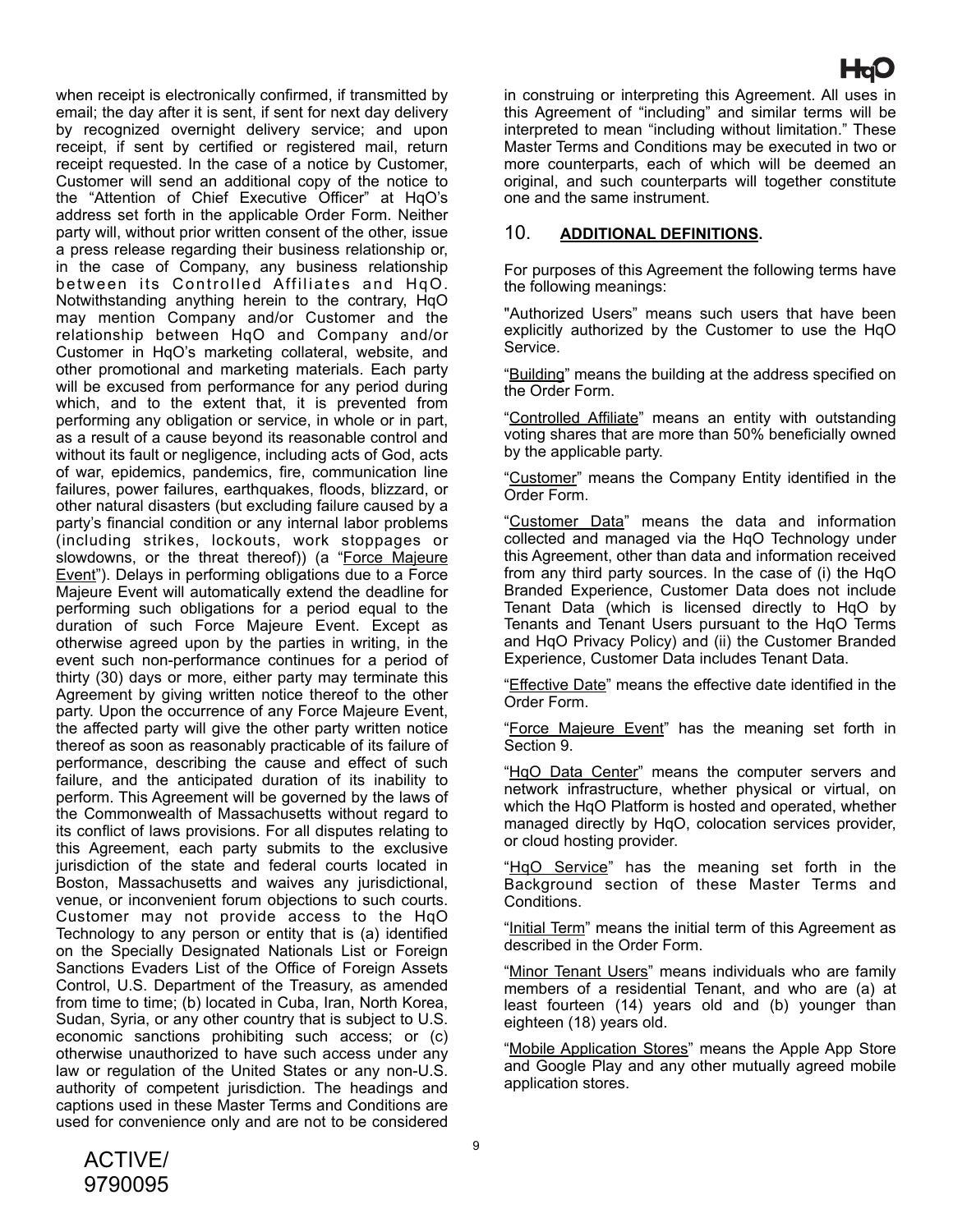when receipt is electronically confirmed, if transmitted by email; the day after it is sent, if sent for next day delivery by recognized overnight delivery service; and upon receipt, if sent by certified or registered mail, return receipt requested. In the case of a notice by Customer, Customer will send an additional copy of the notice to the "Attention of Chief Executive Officer" at HqO's address set forth in the applicable Order Form. Neither party will, without prior written consent of the other, issue a press release regarding their business relationship or, in the case of Company, any business relationship between its Controlled Affiliates and HqO. Notwithstanding anything herein to the contrary, HqO may mention Company and/or Customer and the relationship between HqO and Company and/or Customer in HqO's marketing collateral, website, and other promotional and marketing materials. Each party will be excused from performance for any period during which, and to the extent that, it is prevented from performing any obligation or service, in whole or in part, as a result of a cause beyond its reasonable control and without its fault or negligence, including acts of God, acts of war, epidemics, pandemics, fire, communication line failures, power failures, earthquakes, floods, blizzard, or other natural disasters (but excluding failure caused by a party's financial condition or any internal labor problems (including strikes, lockouts, work stoppages or slowdowns, or the threat thereof)) (a "Force Majeure Event"). Delays in performing obligations due to a Force Majeure Event will automatically extend the deadline for performing such obligations for a period equal to the duration of such Force Majeure Event. Except as otherwise agreed upon by the parties in writing, in the event such non-performance continues for a period of thirty (30) days or more, either party may terminate this Agreement by giving written notice thereof to the other party. Upon the occurrence of any Force Majeure Event, the affected party will give the other party written notice thereof as soon as reasonably practicable of its failure of performance, describing the cause and effect of such failure, and the anticipated duration of its inability to perform. This Agreement will be governed by the laws of the Commonwealth of Massachusetts without regard to its conflict of laws provisions. For all disputes relating to this Agreement, each party submits to the exclusive jurisdiction of the state and federal courts located in Boston, Massachusetts and waives any jurisdictional, venue, or inconvenient forum objections to such courts. Customer may not provide access to the HqO Technology to any person or entity that is (a) identified on the Specially Designated Nationals List or Foreign Sanctions Evaders List of the Office of Foreign Assets Control, U.S. Department of the Treasury, as amended from time to time; (b) located in Cuba, Iran, North Korea, Sudan, Syria, or any other country that is subject to U.S. economic sanctions prohibiting such access; or (c) otherwise unauthorized to have such access under any law or regulation of the United States or any non-U.S.

authority of competent jurisdiction. The headings and captions used in these Master Terms and Conditions are used for convenience only and are not to be considered

in construing or interpreting this Agreement. All uses in this Agreement of "including" and similar terms will be interpreted to mean "including without limitation." These Master Terms and Conditions may be executed in two or more counterparts, each of which will be deemed an original, and such counterparts will together constitute one and the same instrument.

## 10. **ADDITIONAL DEFINITIONS.**

For purposes of this Agreement the following terms have the following meanings:

"Authorized Users" means such users that have been explicitly authorized by the Customer to use the HqO Service.

"Building" means the building at the address specified on the Order Form.

"Controlled Affiliate" means an entity with outstanding voting shares that are more than 50% beneficially owned by the applicable party.

"Customer" means the Company Entity identified in the Order Form.

"Customer Data" means the data and information collected and managed via the HqO Technology under this Agreement, other than data and information received from any third party sources. In the case of (i) the HqO Branded Experience, Customer Data does not include Tenant Data (which is licensed directly to HqO by Tenants and Tenant Users pursuant to the HqO Terms and HqO Privacy Policy) and (ii) the Customer Branded Experience, Customer Data includes Tenant Data.

"Effective Date" means the effective date identified in the Order Form.

"Force Majeure Event" has the meaning set forth in Section 9.

"HqO Data Center" means the computer servers and network infrastructure, whether physical or virtual, on which the HqO Platform is hosted and operated, whether managed directly by HqO, colocation services provider, or cloud hosting provider.

"HqO Service" has the meaning set forth in the Background section of these Master Terms and Conditions.

"Initial Term" means the initial term of this Agreement as described in the Order Form.

"Minor Tenant Users" means individuals who are family members of a residential Tenant, and who are (a) at least fourteen (14) years old and (b) younger than eighteen (18) years old.

"Mobile Application Stores" means the Apple App Store and Google Play and any other mutually agreed mobile application stores.

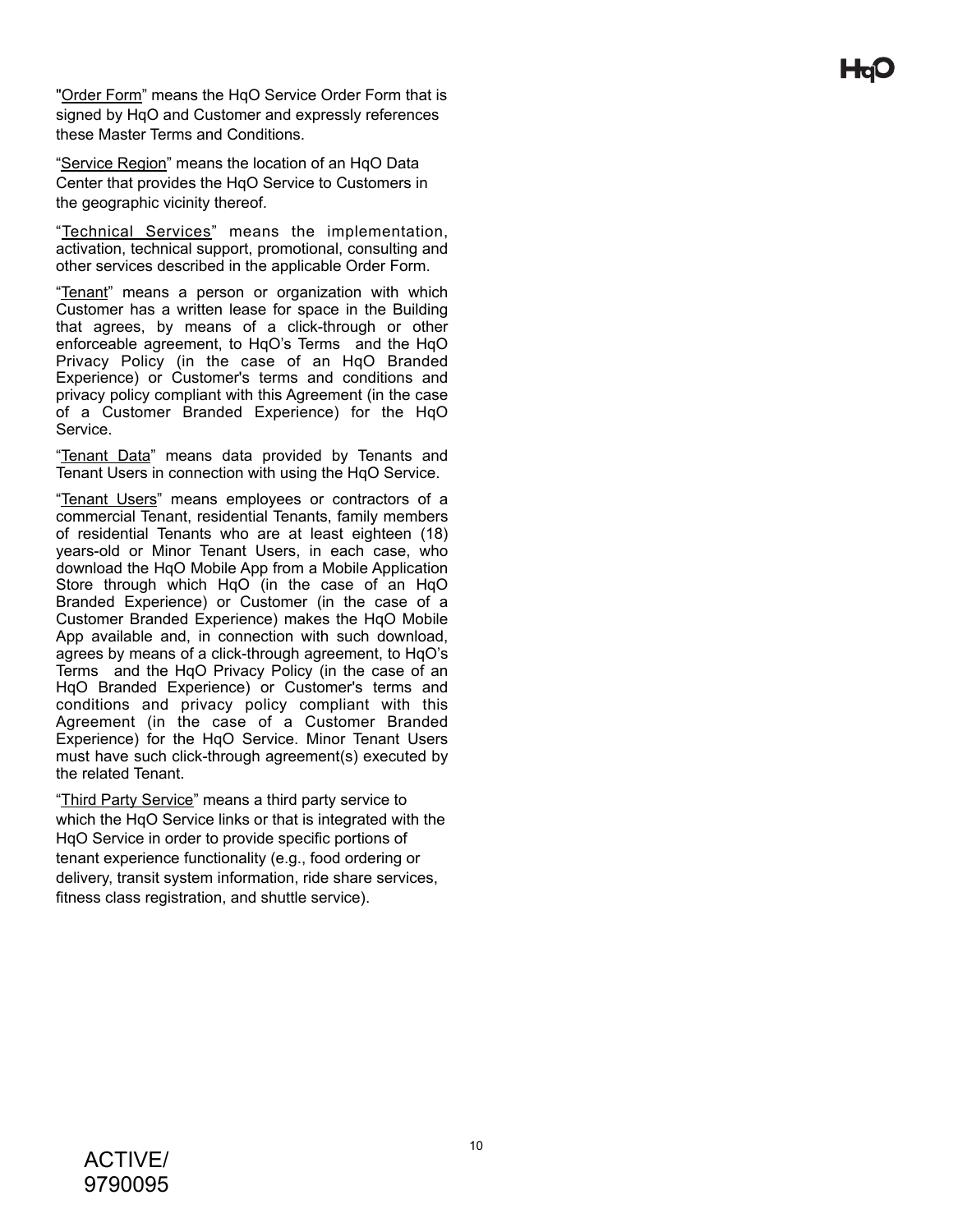"Order Form" means the HqO Service Order Form that is signed by HqO and Customer and expressly references these Master Terms and Conditions.

"Service Region" means the location of an HqO Data Center that provides the HqO Service to Customers in the geographic vicinity thereof.

"Technical Services" means the implementation, activation, technical support, promotional, consulting and other services described in the applicable Order Form.

"Tenant" means a person or organization with which Customer has a written lease for space in the Building that agrees, by means of a click-through or other enforceable agreement, to HqO's Terms and the HqO Privacy Policy (in the case of an HqO Branded Experience) or Customer's terms and conditions and privacy policy compliant with this Agreement (in the case of a Customer Branded Experience) for the HqO Service.

"Tenant Data" means data provided by Tenants and Tenant Users in connection with using the HqO Service.

"Tenant Users" means employees or contractors of a commercial Tenant, residential Tenants, family members of residential Tenants who are at least eighteen (18) years-old or Minor Tenant Users, in each case, who download the HqO Mobile App from a Mobile Application Store through which HqO (in the case of an HqO Branded Experience) or Customer (in the case of a Customer Branded Experience) makes the HqO Mobile App available and, in connection with such download, agrees by means of a click-through agreement, to HqO's Terms and the HqO Privacy Policy (in the case of an HqO Branded Experience) or Customer's terms and conditions and privacy policy compliant with this Agreement (in the case of a Customer Branded Experience) for the HqO Service. Minor Tenant Users must have such click-through agreement(s) executed by the related Tenant.

"Third Party Service" means a third party service to which the HqO Service links or that is integrated with the HqO Service in order to provide specific portions of tenant experience functionality (e.g., food ordering or delivery, transit system information, ride share services, fitness class registration, and shuttle service).

Hdi.